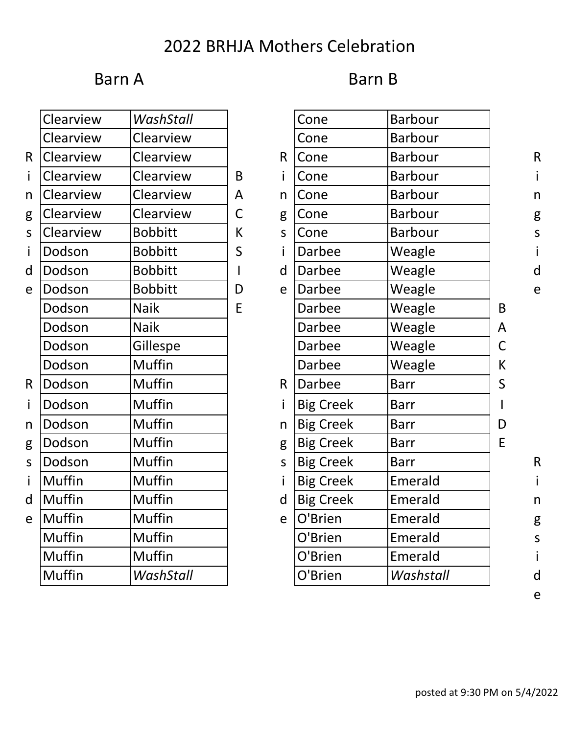## 2022 BRHJA Mothers Celebration

#### Barn A

| B<br>Barn I |  |
|-------------|--|
|-------------|--|

|              | Clearview     | WashStall      |   |              | Cone             | <b>Barbour</b> |
|--------------|---------------|----------------|---|--------------|------------------|----------------|
|              | Clearview     | Clearview      |   |              | Cone             | <b>Barbour</b> |
| $\mathsf{R}$ | Clearview     | Clearview      |   | R.           | Cone             | <b>Barbour</b> |
| i            | Clearview     | Clearview      | B |              | Cone             | <b>Barbour</b> |
| n            | Clearview     | Clearview      | A | n            | Cone             | <b>Barbour</b> |
| g            | Clearview     | Clearview      | C | g            | Cone             | <b>Barbour</b> |
| $\mathsf{S}$ | Clearview     | <b>Bobbitt</b> | К | $\mathsf{S}$ | Cone             | <b>Barbour</b> |
| $\mathbf{i}$ | Dodson        | <b>Bobbitt</b> | S |              | Darbee           | Weagle         |
| d            | Dodson        | <b>Bobbitt</b> |   | d            | Darbee           | Weagle         |
| e            | Dodson        | <b>Bobbitt</b> | D | e            | Darbee           | Weagle         |
|              | Dodson        | <b>Naik</b>    | E |              | <b>Darbee</b>    | Weagle         |
|              | Dodson        | <b>Naik</b>    |   |              | Darbee           | Weagle         |
|              | Dodson        | Gillespe       |   |              | <b>Darbee</b>    | Weagle         |
|              | Dodson        | Muffin         |   |              | Darbee           | Weagle         |
| $\mathsf{R}$ | Dodson        | Muffin         |   | R            | Darbee           | <b>Barr</b>    |
| $\mathbf{i}$ | Dodson        | Muffin         |   |              | <b>Big Creek</b> | <b>Barr</b>    |
| n            | Dodson        | Muffin         |   | n            | <b>Big Creek</b> | <b>Barr</b>    |
| g            | Dodson        | Muffin         |   | g            | <b>Big Creek</b> | <b>Barr</b>    |
| $\mathsf{S}$ | Dodson        | Muffin         |   | $\mathsf{S}$ | <b>Big Creek</b> | <b>Barr</b>    |
| $\mathbf{i}$ | Muffin        | Muffin         |   |              | <b>Big Creek</b> | Emerald        |
| d            | <b>Muffin</b> | Muffin         |   | d            | <b>Big Creek</b> | Emerald        |
| e            | Muffin        | Muffin         |   | e            | O'Brien          | Emerald        |
|              | Muffin        | Muffin         |   |              | O'Brien          | Emerald        |
|              | Muffin        | Muffin         |   |              | O'Brien          | Emerald        |
|              | Muffin        | WashStall      |   |              | O'Brien          | Washsta        |

|   | Clearview     | WashStall      |             |              | Cone             | <b>Barbour</b> |             |
|---|---------------|----------------|-------------|--------------|------------------|----------------|-------------|
|   | Clearview     | Clearview      |             |              | Cone             | <b>Barbour</b> |             |
| R | Clearview     | Clearview      |             | $\mathsf{R}$ | Cone             | <b>Barbour</b> |             |
| i | Clearview     | Clearview      | B           |              | Cone             | <b>Barbour</b> |             |
| n | Clearview     | Clearview      | A           | n            | Cone             | <b>Barbour</b> |             |
| g | Clearview     | Clearview      | $\mathsf C$ | g            | Cone             | <b>Barbour</b> |             |
| S | Clearview     | <b>Bobbitt</b> | К           | S            | Cone             | <b>Barbour</b> |             |
| i | Dodson        | <b>Bobbitt</b> | S           |              | <b>Darbee</b>    | Weagle         |             |
| d | Dodson        | <b>Bobbitt</b> |             | d            | <b>Darbee</b>    | Weagle         |             |
| e | Dodson        | <b>Bobbitt</b> | D           | e            | <b>Darbee</b>    | Weagle         |             |
|   | Dodson        | <b>Naik</b>    | E           |              | Darbee           | Weagle         | B           |
|   | Dodson        | <b>Naik</b>    |             |              | <b>Darbee</b>    | Weagle         | A           |
|   | Dodson        | Gillespe       |             |              | <b>Darbee</b>    | Weagle         | $\mathsf C$ |
|   | Dodson        | Muffin         |             |              | <b>Darbee</b>    | Weagle         | К           |
| R | Dodson        | Muffin         |             | R.           | Darbee           | <b>Barr</b>    | S           |
| i | Dodson        | Muffin         |             |              | <b>Big Creek</b> | <b>Barr</b>    |             |
| n | Dodson        | <b>Muffin</b>  |             | n            | <b>Big Creek</b> | <b>Barr</b>    | D           |
| g | Dodson        | <b>Muffin</b>  |             | g            | <b>Big Creek</b> | <b>Barr</b>    | E           |
| S | Dodson        | Muffin         |             | S            | <b>Big Creek</b> | <b>Barr</b>    |             |
| i | <b>Muffin</b> | Muffin         |             |              | <b>Big Creek</b> | Emerald        |             |
| d | <b>Muffin</b> | Muffin         |             | d            | <b>Big Creek</b> | Emerald        |             |
| e | Muffin        | Muffin         |             | e            | O'Brien          | Emerald        |             |
|   | Muffin        | Muffin         |             |              | O'Brien          | Emerald        |             |
|   | <b>Muffin</b> | Muffin         |             |              | O'Brien          | Emerald        |             |
|   | Muffin        | WashStall      |             |              | O'Brien          | Washstall      |             |

e

posted at 9:30 PM on 5/4/2022